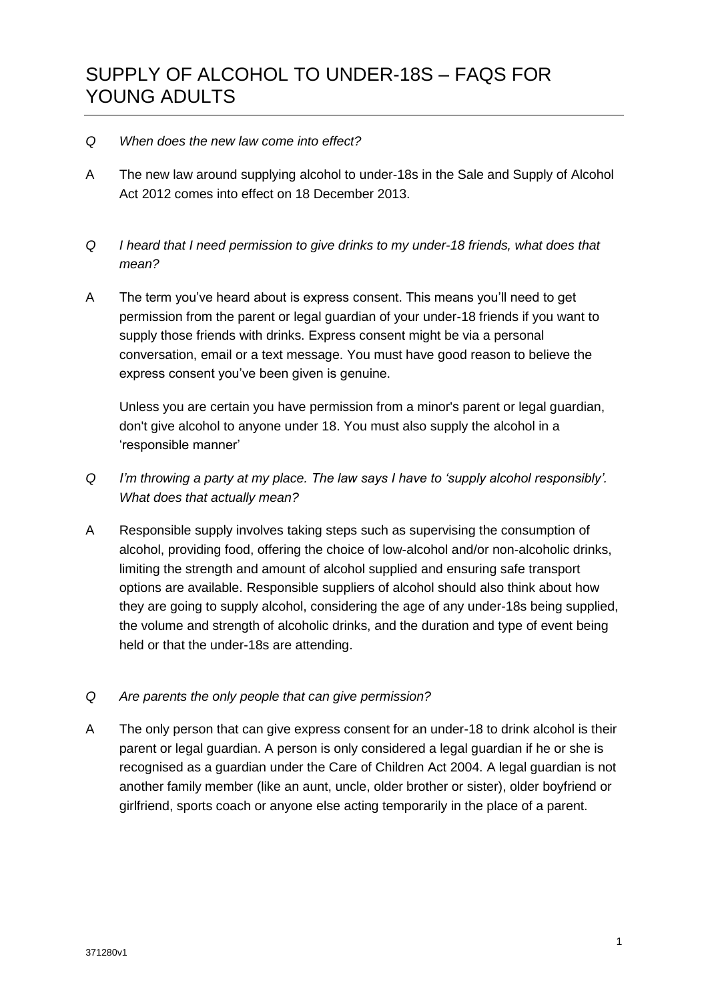## *Q When does the new law come into effect?*

- A The new law around supplying alcohol to under-18s in the Sale and Supply of Alcohol Act 2012 comes into effect on 18 December 2013.
- *Q I heard that I need permission to give drinks to my under-18 friends, what does that mean?*
- A The term you've heard about is express consent. This means you'll need to get permission from the parent or legal guardian of your under-18 friends if you want to supply those friends with drinks. Express consent might be via a personal conversation, email or a text message. You must have good reason to believe the express consent you've been given is genuine.

Unless you are certain you have permission from a minor's parent or legal guardian, don't give alcohol to anyone under 18. You must also supply the alcohol in a 'responsible manner'

- *Q I'm throwing a party at my place. The law says I have to 'supply alcohol responsibly'. What does that actually mean?*
- A Responsible supply involves taking steps such as supervising the consumption of alcohol, providing food, offering the choice of low-alcohol and/or non-alcoholic drinks, limiting the strength and amount of alcohol supplied and ensuring safe transport options are available. Responsible suppliers of alcohol should also think about how they are going to supply alcohol, considering the age of any under-18s being supplied, the volume and strength of alcoholic drinks, and the duration and type of event being held or that the under-18s are attending.
- *Q Are parents the only people that can give permission?*
- A The only person that can give express consent for an under-18 to drink alcohol is their parent or legal guardian. A person is only considered a legal guardian if he or she is recognised as a guardian under the Care of Children Act 2004. A legal guardian is not another family member (like an aunt, uncle, older brother or sister), older boyfriend or girlfriend, sports coach or anyone else acting temporarily in the place of a parent.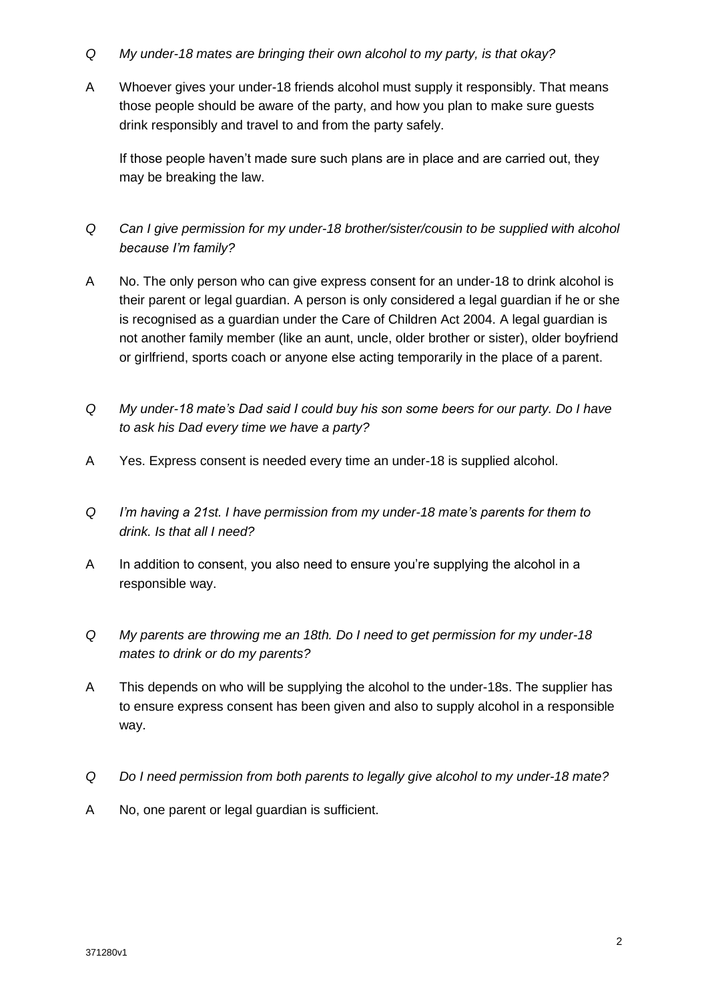- *Q My under-18 mates are bringing their own alcohol to my party, is that okay?*
- A Whoever gives your under-18 friends alcohol must supply it responsibly. That means those people should be aware of the party, and how you plan to make sure guests drink responsibly and travel to and from the party safely.

If those people haven't made sure such plans are in place and are carried out, they may be breaking the law.

- *Q Can I give permission for my under-18 brother/sister/cousin to be supplied with alcohol because I'm family?*
- A No. The only person who can give express consent for an under-18 to drink alcohol is their parent or legal guardian. A person is only considered a legal guardian if he or she is recognised as a guardian under the Care of Children Act 2004. A legal guardian is not another family member (like an aunt, uncle, older brother or sister), older boyfriend or girlfriend, sports coach or anyone else acting temporarily in the place of a parent.
- *Q My under-18 mate's Dad said I could buy his son some beers for our party. Do I have to ask his Dad every time we have a party?*
- A Yes. Express consent is needed every time an under-18 is supplied alcohol.
- *Q I'm having a 21st. I have permission from my under-18 mate's parents for them to drink. Is that all I need?*
- A In addition to consent, you also need to ensure you're supplying the alcohol in a responsible way.
- *Q My parents are throwing me an 18th. Do I need to get permission for my under-18 mates to drink or do my parents?*
- A This depends on who will be supplying the alcohol to the under-18s. The supplier has to ensure express consent has been given and also to supply alcohol in a responsible way.
- *Q Do I need permission from both parents to legally give alcohol to my under-18 mate?*
- A No, one parent or legal guardian is sufficient.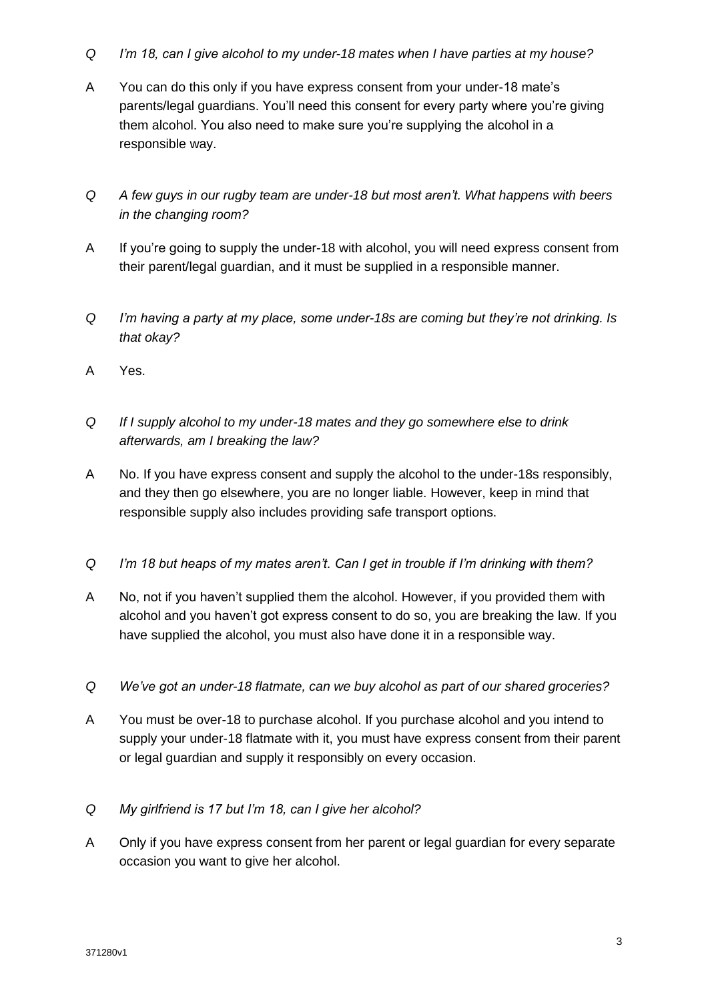- *Q I'm 18, can I give alcohol to my under-18 mates when I have parties at my house?*
- A You can do this only if you have express consent from your under-18 mate's parents/legal guardians. You'll need this consent for every party where you're giving them alcohol. You also need to make sure you're supplying the alcohol in a responsible way.
- *Q A few guys in our rugby team are under-18 but most aren't. What happens with beers in the changing room?*
- A If you're going to supply the under-18 with alcohol, you will need express consent from their parent/legal guardian, and it must be supplied in a responsible manner.
- *Q I'm having a party at my place, some under-18s are coming but they're not drinking. Is that okay?*
- A Yes.
- *Q If I supply alcohol to my under-18 mates and they go somewhere else to drink afterwards, am I breaking the law?*
- A No. If you have express consent and supply the alcohol to the under-18s responsibly, and they then go elsewhere, you are no longer liable. However, keep in mind that responsible supply also includes providing safe transport options.
- *Q I'm 18 but heaps of my mates aren't. Can I get in trouble if I'm drinking with them?*
- A No, not if you haven't supplied them the alcohol. However, if you provided them with alcohol and you haven't got express consent to do so, you are breaking the law. If you have supplied the alcohol, you must also have done it in a responsible way.
- *Q We've got an under-18 flatmate, can we buy alcohol as part of our shared groceries?*
- A You must be over-18 to purchase alcohol. If you purchase alcohol and you intend to supply your under-18 flatmate with it, you must have express consent from their parent or legal guardian and supply it responsibly on every occasion.
- *Q My girlfriend is 17 but I'm 18, can I give her alcohol?*
- A Only if you have express consent from her parent or legal guardian for every separate occasion you want to give her alcohol.